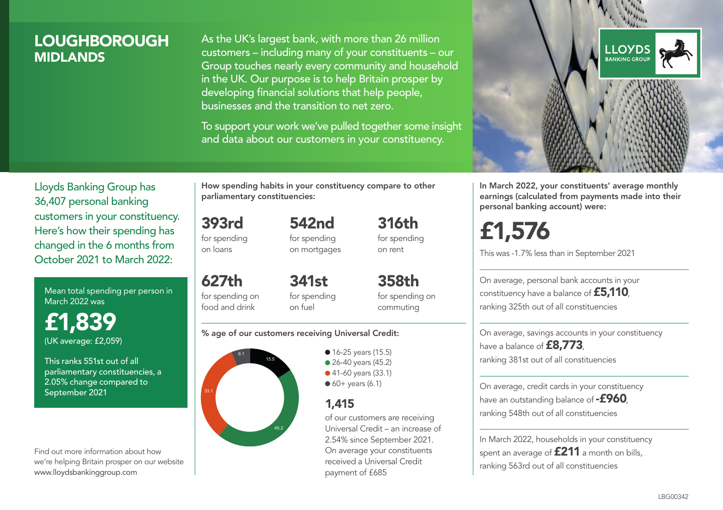## LOUGHBOROUGH **MIDI ANDS**

As the UK's largest bank, with more than 26 million customers – including many of your constituents – our Group touches nearly every community and household in the UK. Our purpose is to help Britain prosper by developing financial solutions that help people, businesses and the transition to net zero.

To support your work we've pulled together some insight and data about our customers in your constituency.



In March 2022, your constituents' average monthly earnings (calculated from payments made into their personal banking account) were:

£1,576

This was -1.7% less than in September 2021

On average, personal bank accounts in your constituency have a balance of £5,110, ranking 325th out of all constituencies

On average, savings accounts in your constituency have a balance of **£8,773**, ranking 381st out of all constituencies

On average, credit cards in your constituency have an outstanding balance of **-£960**. ranking 548th out of all constituencies

In March 2022, households in your constituency spent an average of **£211** a month on bills, ranking 563rd out of all constituencies

Lloyds Banking Group has 36,407 personal banking customers in your constituency. Here's how their spending has changed in the 6 months from October 2021 to March 2022:

Mean total spending per person in March 2022 was

£1,839 (UK average: £2,059)

This ranks 551st out of all parliamentary constituencies, a 2.05% change compared to September 2021

Find out more information about how we're helping Britain prosper on our website www.lloydsbankinggroup.com

How spending habits in your constituency compare to other parliamentary constituencies:

393rd for spending 542nd

on loans

627th for spending on food and drink

for spending on mortgages

on rent 358th

341st for spending on fuel

for spending on commuting

316th for spending

#### % age of our customers receiving Universal Credit:



• 16-25 years (15.5) ● 26-40 years (45.2) ● 41-60 years (33.1)  $60+$  years (6.1)

## 1,415

of our customers are receiving Universal Credit – an increase of 2.54% since September 2021. On average your constituents received a Universal Credit payment of £685